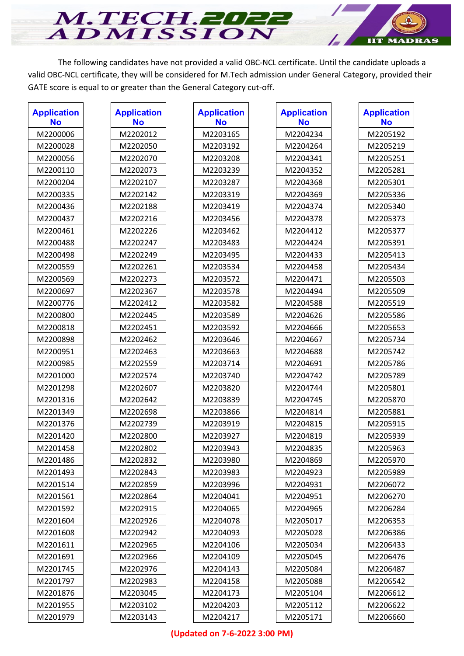The following candidates have not provided a valid OBC-NCL certificate. Until the candidate uploads a valid OBC-NCL certificate, they will be considered for M.Tech admission under General Category, provided their GATE score is equal to or greater than the General Category cut-off.

**IIT MADRAS** 

M.TECH.2022

| <b>Application</b><br><b>No</b> | <b>Application</b><br><b>No</b> | <b>Application</b><br><b>No</b> | <b>Application</b><br><b>No</b> | <b>Application</b><br><b>No</b> |
|---------------------------------|---------------------------------|---------------------------------|---------------------------------|---------------------------------|
| M2200006                        | M2202012                        | M2203165                        | M2204234                        | M2205192                        |
| M2200028                        | M2202050                        | M2203192                        | M2204264                        | M2205219                        |
| M2200056                        | M2202070                        | M2203208                        | M2204341                        | M2205251                        |
| M2200110                        | M2202073                        | M2203239                        | M2204352                        | M2205281                        |
| M2200204                        | M2202107                        | M2203287                        | M2204368                        | M2205301                        |
| M2200335                        | M2202142                        | M2203319                        | M2204369                        | M2205336                        |
| M2200436                        | M2202188                        | M2203419                        | M2204374                        | M2205340                        |
| M2200437                        | M2202216                        | M2203456                        | M2204378                        | M2205373                        |
| M2200461                        | M2202226                        | M2203462                        | M2204412                        | M2205377                        |
| M2200488                        | M2202247                        | M2203483                        | M2204424                        | M2205391                        |
| M2200498                        | M2202249                        | M2203495                        | M2204433                        | M2205413                        |
| M2200559                        | M2202261                        | M2203534                        | M2204458                        | M2205434                        |
| M2200569                        | M2202273                        | M2203572                        | M2204471                        | M2205503                        |
| M2200697                        | M2202367                        | M2203578                        | M2204494                        | M2205509                        |
| M2200776                        | M2202412                        | M2203582                        | M2204588                        | M2205519                        |
| M2200800                        | M2202445                        | M2203589                        | M2204626                        | M2205586                        |
| M2200818                        | M2202451                        | M2203592                        | M2204666                        | M2205653                        |
| M2200898                        | M2202462                        | M2203646                        | M2204667                        | M2205734                        |
| M2200951                        | M2202463                        | M2203663                        | M2204688                        | M2205742                        |
| M2200985                        | M2202559                        | M2203714                        | M2204691                        | M2205786                        |
| M2201000                        | M2202574                        | M2203740                        | M2204742                        | M2205789                        |
| M2201298                        | M2202607                        | M2203820                        | M2204744                        | M2205801                        |
| M2201316                        | M2202642                        | M2203839                        | M2204745                        | M2205870                        |
| M2201349                        | M2202698                        | M2203866                        | M2204814                        | M2205881                        |
| M2201376                        | M2202739                        | M2203919                        | M2204815                        | M2205915                        |
| M2201420                        | M2202800                        | M2203927                        | M2204819                        | M2205939                        |
| M2201458                        | M2202802                        | M2203943                        | M2204835                        | M2205963                        |
| M2201486                        | M2202832                        | M2203980                        | M2204869                        | M2205970                        |
| M2201493                        | M2202843                        | M2203983                        | M2204923                        | M2205989                        |
| M2201514                        | M2202859                        | M2203996                        | M2204931                        | M2206072                        |
| M2201561                        | M2202864                        | M2204041                        | M2204951                        | M2206270                        |
| M2201592                        | M2202915                        | M2204065                        | M2204965                        | M2206284                        |
| M2201604                        | M2202926                        | M2204078                        | M2205017                        | M2206353                        |
| M2201608                        | M2202942                        | M2204093                        | M2205028                        | M2206386                        |
| M2201611                        | M2202965                        | M2204106                        | M2205034                        | M2206433                        |
| M2201691                        | M2202966                        | M2204109                        | M2205045                        | M2206476                        |
| M2201745                        | M2202976                        | M2204143                        | M2205084                        | M2206487                        |
| M2201797                        | M2202983                        | M2204158                        | M2205088                        | M2206542                        |
| M2201876                        | M2203045                        | M2204173                        | M2205104                        | M2206612                        |
| M2201955                        | M2203102                        | M2204203                        | M2205112                        | M2206622                        |
| M2201979                        | M2203143                        | M2204217                        | M2205171                        | M2206660                        |

## **(Updated on 7-6-2022 3:00 PM)**